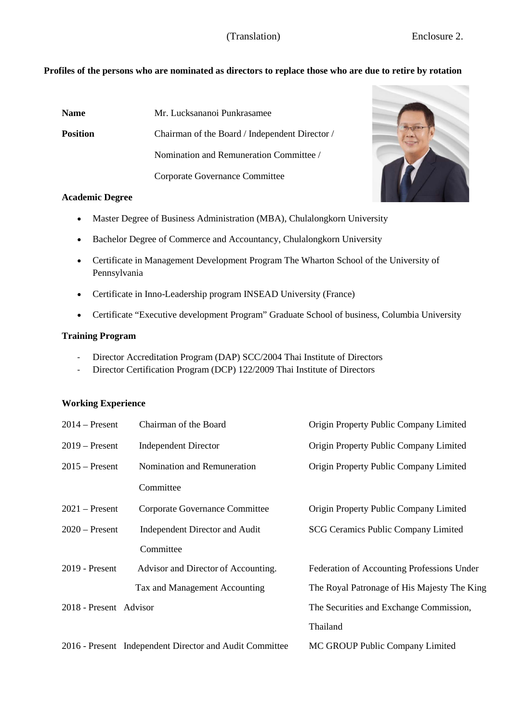## (Translation) Enclosure 2.

## **Profiles of the persons who are nominated as directors to replace those who are due to retire by rotation**

| <b>Name</b>     | Mr. Lucksananoi Punkrasamee                    |
|-----------------|------------------------------------------------|
| <b>Position</b> | Chairman of the Board / Independent Director / |
|                 | Nomination and Remuneration Committee /        |
|                 | Corporate Governance Committee                 |



#### **Academic Degree**

- Master Degree of Business Administration (MBA), Chulalongkorn University
- Bachelor Degree of Commerce and Accountancy, Chulalongkorn University
- Certificate in Management Development Program The Wharton School of the University of Pennsylvania
- Certificate in Inno-Leadership program INSEAD University (France)
- Certificate "Executive development Program" Graduate School of business, Columbia University

## **Training Program**

- Director Accreditation Program (DAP) SCC/2004 Thai Institute of Directors
- Director Certification Program (DCP) 122/2009 Thai Institute of Directors

#### **Working Experience**

| $2014$ – Present       | Chairman of the Board                 | Origin Property Public Company Limited      |
|------------------------|---------------------------------------|---------------------------------------------|
| $2019$ – Present       | <b>Independent Director</b>           | Origin Property Public Company Limited      |
| $2015$ – Present       | Nomination and Remuneration           | Origin Property Public Company Limited      |
|                        | Committee                             |                                             |
| $2021$ – Present       | Corporate Governance Committee        | Origin Property Public Company Limited      |
| $2020 -$ Present       | <b>Independent Director and Audit</b> | <b>SCG Ceramics Public Company Limited</b>  |
|                        | Committee                             |                                             |
| $2019$ - Present       | Advisor and Director of Accounting.   | Federation of Accounting Professions Under  |
|                        | Tax and Management Accounting         | The Royal Patronage of His Majesty The King |
| 2018 - Present Advisor |                                       | The Securities and Exchange Commission,     |
|                        |                                       | Thailand                                    |
|                        |                                       |                                             |

2016 - Present Independent Director and Audit Committee MC GROUP Public Company Limited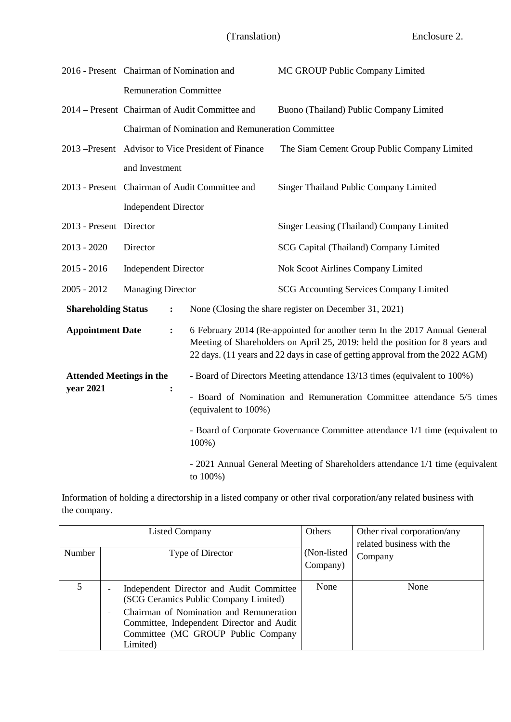|                                                                                                                                                                                                                                                                            | 2016 - Present Chairman of Nomination and      |                                                                                           | MC GROUP Public Company Limited                                       |  |
|----------------------------------------------------------------------------------------------------------------------------------------------------------------------------------------------------------------------------------------------------------------------------|------------------------------------------------|-------------------------------------------------------------------------------------------|-----------------------------------------------------------------------|--|
|                                                                                                                                                                                                                                                                            | <b>Remuneration Committee</b>                  |                                                                                           |                                                                       |  |
|                                                                                                                                                                                                                                                                            | 2014 – Present Chairman of Audit Committee and |                                                                                           | Buono (Thailand) Public Company Limited                               |  |
|                                                                                                                                                                                                                                                                            |                                                | Chairman of Nomination and Remuneration Committee                                         |                                                                       |  |
|                                                                                                                                                                                                                                                                            |                                                | 2013 –Present Advisor to Vice President of Finance                                        | The Siam Cement Group Public Company Limited                          |  |
|                                                                                                                                                                                                                                                                            | and Investment                                 |                                                                                           |                                                                       |  |
|                                                                                                                                                                                                                                                                            |                                                | 2013 - Present Chairman of Audit Committee and                                            | Singer Thailand Public Company Limited                                |  |
|                                                                                                                                                                                                                                                                            | <b>Independent Director</b>                    |                                                                                           |                                                                       |  |
| 2013 - Present Director                                                                                                                                                                                                                                                    |                                                |                                                                                           | Singer Leasing (Thailand) Company Limited                             |  |
| $2013 - 2020$                                                                                                                                                                                                                                                              | Director                                       |                                                                                           | SCG Capital (Thailand) Company Limited                                |  |
| $2015 - 2016$                                                                                                                                                                                                                                                              | <b>Independent Director</b>                    |                                                                                           | Nok Scoot Airlines Company Limited                                    |  |
| $2005 - 2012$<br><b>Managing Director</b>                                                                                                                                                                                                                                  |                                                |                                                                                           | <b>SCG Accounting Services Company Limited</b>                        |  |
| <b>Shareholding Status</b><br>:                                                                                                                                                                                                                                            |                                                |                                                                                           | None (Closing the share register on December 31, 2021)                |  |
| 6 February 2014 (Re-appointed for another term In the 2017 Annual General<br><b>Appointment Date</b><br>:<br>Meeting of Shareholders on April 25, 2019: held the position for 8 years and<br>22 days. (11 years and 22 days in case of getting approval from the 2022 AGM) |                                                |                                                                                           |                                                                       |  |
| <b>Attended Meetings in the</b>                                                                                                                                                                                                                                            |                                                | - Board of Directors Meeting attendance 13/13 times (equivalent to 100%)                  |                                                                       |  |
| year 2021<br>$\ddot{\cdot}$<br>(equivalent to 100%)                                                                                                                                                                                                                        |                                                |                                                                                           | - Board of Nomination and Remuneration Committee attendance 5/5 times |  |
|                                                                                                                                                                                                                                                                            |                                                | - Board of Corporate Governance Committee attendance 1/1 time (equivalent to<br>100%)     |                                                                       |  |
|                                                                                                                                                                                                                                                                            |                                                | - 2021 Annual General Meeting of Shareholders attendance 1/1 time (equivalent<br>to 100%) |                                                                       |  |

Information of holding a directorship in a listed company or other rival corporation/any related business with the company.

| Listed Company |                                                                                                                                        | Others                   | Other rival corporation/any<br>related business with the |
|----------------|----------------------------------------------------------------------------------------------------------------------------------------|--------------------------|----------------------------------------------------------|
| Number         | Type of Director                                                                                                                       | (Non-listed)<br>Company) | Company                                                  |
| 5              | Independent Director and Audit Committee<br>(SCG Ceramics Public Company Limited)                                                      | None                     | None                                                     |
|                | Chairman of Nomination and Remuneration<br>Committee, Independent Director and Audit<br>Committee (MC GROUP Public Company<br>Limited) |                          |                                                          |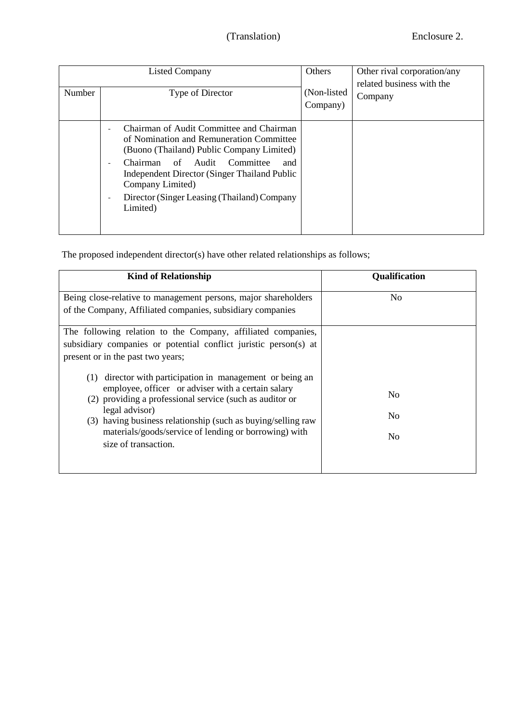| Number | Others<br>Listed Company<br>(Non-listed)<br>Type of Director<br>Company)                                                                                                                                                                                                                                           |  | Other rival corporation/any<br>related business with the<br>Company |
|--------|--------------------------------------------------------------------------------------------------------------------------------------------------------------------------------------------------------------------------------------------------------------------------------------------------------------------|--|---------------------------------------------------------------------|
|        | Chairman of Audit Committee and Chairman<br>of Nomination and Remuneration Committee<br>(Buono (Thailand) Public Company Limited)<br>Chairman of Audit<br>Committee<br>and<br><b>Independent Director (Singer Thailand Public</b> )<br>Company Limited)<br>Director (Singer Leasing (Thailand) Company<br>Limited) |  |                                                                     |

The proposed independent director(s) have other related relationships as follows;

| <b>Kind of Relationship</b>                                                                                                                                                                                                                                                                                                                       | Qualification                                      |
|---------------------------------------------------------------------------------------------------------------------------------------------------------------------------------------------------------------------------------------------------------------------------------------------------------------------------------------------------|----------------------------------------------------|
| Being close-relative to management persons, major shareholders<br>of the Company, Affiliated companies, subsidiary companies                                                                                                                                                                                                                      | N <sub>0</sub>                                     |
| The following relation to the Company, affiliated companies,<br>subsidiary companies or potential conflict juristic person(s) at<br>present or in the past two years;                                                                                                                                                                             |                                                    |
| director with participation in management or being an<br>(1)<br>employee, officer or adviser with a certain salary<br>(2) providing a professional service (such as auditor or<br>legal advisor)<br>(3) having business relationship (such as buying/selling raw<br>materials/goods/service of lending or borrowing) with<br>size of transaction. | N <sub>0</sub><br>N <sub>0</sub><br>N <sub>0</sub> |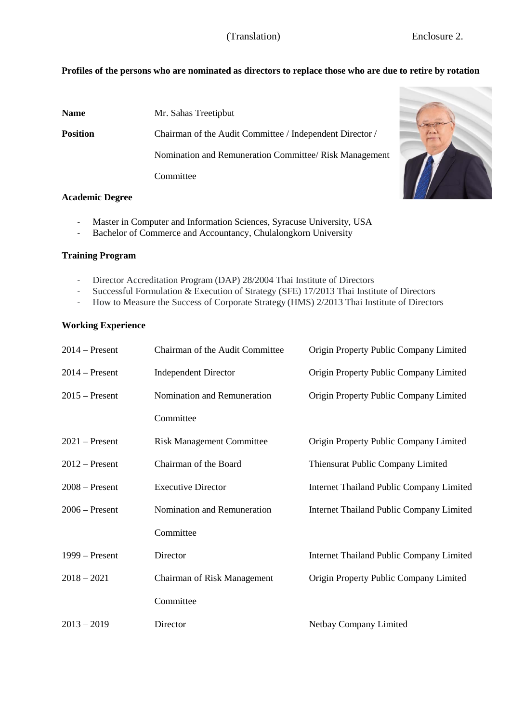# **Profiles of the persons who are nominated as directors to replace those who are due to retire by rotation**

| <b>Name</b>     | Mr. Sahas Treetipbut                                     |
|-----------------|----------------------------------------------------------|
| <b>Position</b> | Chairman of the Audit Committee / Independent Director / |
|                 | Nomination and Remuneration Committee/ Risk Management   |
|                 | Committee                                                |

#### **Academic Degree**

- Master in Computer and Information Sciences, Syracuse University, USA
- Bachelor of Commerce and Accountancy, Chulalongkorn University

#### **Training Program**

- Director Accreditation Program (DAP) 28/2004 Thai Institute of Directors
- Successful Formulation & Execution of Strategy (SFE) 17/2013 Thai Institute of Directors
- How to Measure the Success of Corporate Strategy (HMS) 2/2013 Thai Institute of Directors

## **Working Experience**

| $2014$ – Present | Chairman of the Audit Committee  | Origin Property Public Company Limited   |
|------------------|----------------------------------|------------------------------------------|
| $2014$ – Present | <b>Independent Director</b>      | Origin Property Public Company Limited   |
| $2015$ – Present | Nomination and Remuneration      | Origin Property Public Company Limited   |
|                  | Committee                        |                                          |
| $2021$ – Present | <b>Risk Management Committee</b> | Origin Property Public Company Limited   |
| $2012$ – Present | Chairman of the Board            | Thiensurat Public Company Limited        |
| $2008 -$ Present | <b>Executive Director</b>        | Internet Thailand Public Company Limited |
| $2006 -$ Present | Nomination and Remuneration      | Internet Thailand Public Company Limited |
|                  | Committee                        |                                          |
| $1999 -$ Present | Director                         | Internet Thailand Public Company Limited |
| $2018 - 2021$    | Chairman of Risk Management      | Origin Property Public Company Limited   |
|                  | Committee                        |                                          |
| $2013 - 2019$    | Director                         | Netbay Company Limited                   |

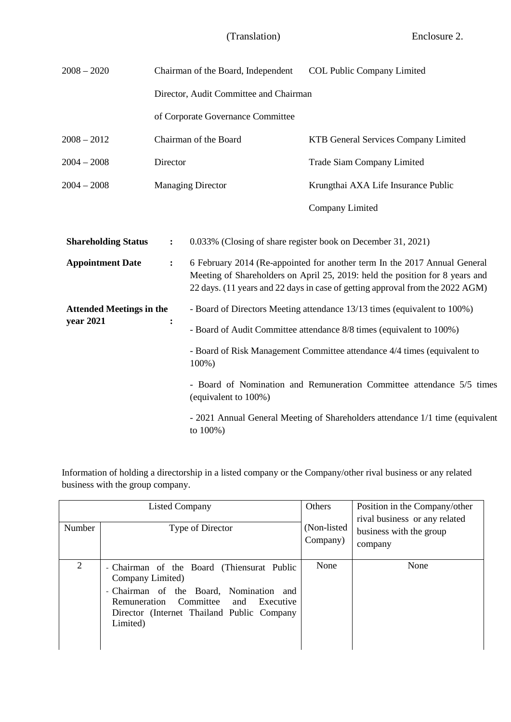| $2008 - 2020$                   |                                                                                   | Chairman of the Board, Independent                                                                                                                                                                                                         | <b>COL Public Company Limited</b>                            |  |
|---------------------------------|-----------------------------------------------------------------------------------|--------------------------------------------------------------------------------------------------------------------------------------------------------------------------------------------------------------------------------------------|--------------------------------------------------------------|--|
|                                 |                                                                                   | Director, Audit Committee and Chairman                                                                                                                                                                                                     |                                                              |  |
|                                 |                                                                                   | of Corporate Governance Committee                                                                                                                                                                                                          |                                                              |  |
| $2008 - 2012$                   |                                                                                   | Chairman of the Board                                                                                                                                                                                                                      | KTB General Services Company Limited                         |  |
| $2004 - 2008$                   | Director                                                                          |                                                                                                                                                                                                                                            | <b>Trade Siam Company Limited</b>                            |  |
| $2004 - 2008$                   |                                                                                   | <b>Managing Director</b>                                                                                                                                                                                                                   | Krungthai AXA Life Insurance Public                          |  |
|                                 |                                                                                   |                                                                                                                                                                                                                                            | Company Limited                                              |  |
| <b>Shareholding Status</b>      | $\ddot{\cdot}$                                                                    |                                                                                                                                                                                                                                            | 0.033% (Closing of share register book on December 31, 2021) |  |
| <b>Appointment Date</b>         | $\ddot{\cdot}$                                                                    | 6 February 2014 (Re-appointed for another term In the 2017 Annual General<br>Meeting of Shareholders on April 25, 2019: held the position for 8 years and<br>22 days. (11 years and 22 days in case of getting approval from the 2022 AGM) |                                                              |  |
| <b>Attended Meetings in the</b> |                                                                                   | - Board of Directors Meeting attendance 13/13 times (equivalent to 100%)                                                                                                                                                                   |                                                              |  |
| year 2021                       | $\ddot{\cdot}$                                                                    | - Board of Audit Committee attendance 8/8 times (equivalent to 100%)                                                                                                                                                                       |                                                              |  |
|                                 | - Board of Risk Management Committee attendance 4/4 times (equivalent to<br>100%) |                                                                                                                                                                                                                                            |                                                              |  |
|                                 |                                                                                   | - Board of Nomination and Remuneration Committee attendance 5/5 times<br>(equivalent to 100%)                                                                                                                                              |                                                              |  |
|                                 |                                                                                   | - 2021 Annual General Meeting of Shareholders attendance 1/1 time (equivalent<br>to 100%)                                                                                                                                                  |                                                              |  |

Information of holding a directorship in a listed company or the Company/other rival business or any related business with the group company.

| <b>Listed Company</b> |                                                                                                                                                                                                                   | Others                  | Position in the Company/other<br>rival business or any related |
|-----------------------|-------------------------------------------------------------------------------------------------------------------------------------------------------------------------------------------------------------------|-------------------------|----------------------------------------------------------------|
| Number                | Type of Director                                                                                                                                                                                                  | (Non-listed<br>Company) | business with the group<br>company                             |
| 2                     | - Chairman of the Board (Thiensurat Public<br>Company Limited)<br>- Chairman of the Board, Nomination and<br>Remuneration Committee<br>and<br>Executive<br>Director (Internet Thailand Public Company<br>Limited) | None                    | None                                                           |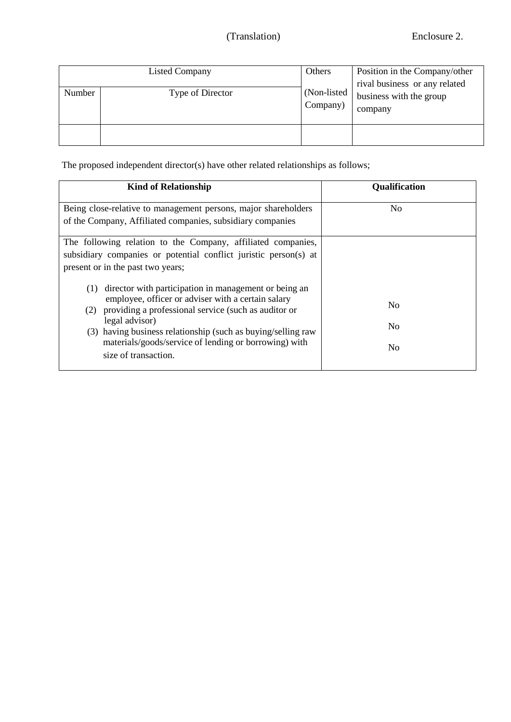# (Translation) Enclosure 2.

| Number | <b>Listed Company</b><br>Type of Director | Others<br>(Non-listed)<br>Company) | Position in the Company/other<br>rival business or any related<br>business with the group<br>company |
|--------|-------------------------------------------|------------------------------------|------------------------------------------------------------------------------------------------------|
|        |                                           |                                    |                                                                                                      |

The proposed independent director(s) have other related relationships as follows;

| <b>Kind of Relationship</b>                                                                                                                                                                                                                                                                                                                                                                                                                                                                                                   | <b>Qualification</b>       |
|-------------------------------------------------------------------------------------------------------------------------------------------------------------------------------------------------------------------------------------------------------------------------------------------------------------------------------------------------------------------------------------------------------------------------------------------------------------------------------------------------------------------------------|----------------------------|
| Being close-relative to management persons, major shareholders<br>of the Company, Affiliated companies, subsidiary companies                                                                                                                                                                                                                                                                                                                                                                                                  | No                         |
| The following relation to the Company, affiliated companies,<br>subsidiary companies or potential conflict juristic person(s) at<br>present or in the past two years;<br>director with participation in management or being an<br>(1)<br>employee, officer or adviser with a certain salary<br>providing a professional service (such as auditor or<br>(2)<br>legal advisor)<br>(3) having business relationship (such as buying/selling raw<br>materials/goods/service of lending or borrowing) with<br>size of transaction. | N <sub>0</sub><br>No<br>No |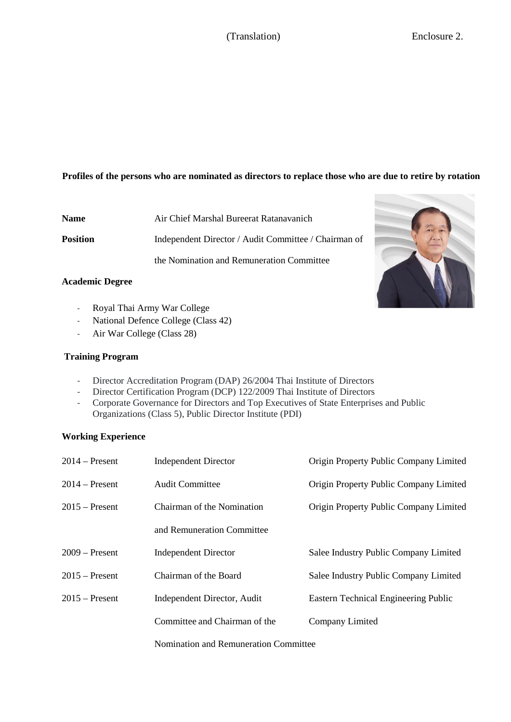# (Translation) Enclosure 2.

# **Profiles of the persons who are nominated as directors to replace those who are due to retire by rotation**

**Name** Air Chief Marshal Bureerat Ratanavanich **Position** Independent Director / Audit Committee / Chairman of the Nomination and Remuneration Committee

#### **Academic Degree**

- Royal Thai Army War College
- National Defence College (Class 42)
- Air War College (Class 28)

## **Training Program**

- Director Accreditation Program (DAP) 26/2004 Thai Institute of Directors
- Director Certification Program (DCP) 122/2009 Thai Institute of Directors
- Corporate Governance for Directors and Top Executives of State Enterprises and Public Organizations (Class 5), Public Director Institute (PDI)

## **Working Experience**

| $2014$ – Present | <b>Independent Director</b>           | Origin Property Public Company Limited |  |
|------------------|---------------------------------------|----------------------------------------|--|
| $2014$ – Present | <b>Audit Committee</b>                | Origin Property Public Company Limited |  |
| $2015$ – Present | Chairman of the Nomination            | Origin Property Public Company Limited |  |
|                  | and Remuneration Committee            |                                        |  |
| $2009 -$ Present | <b>Independent Director</b>           | Salee Industry Public Company Limited  |  |
| $2015$ – Present | Chairman of the Board                 | Salee Industry Public Company Limited  |  |
| $2015$ – Present | Independent Director, Audit           | Eastern Technical Engineering Public   |  |
|                  | Committee and Chairman of the         | Company Limited                        |  |
|                  | Nomination and Remuneration Committee |                                        |  |

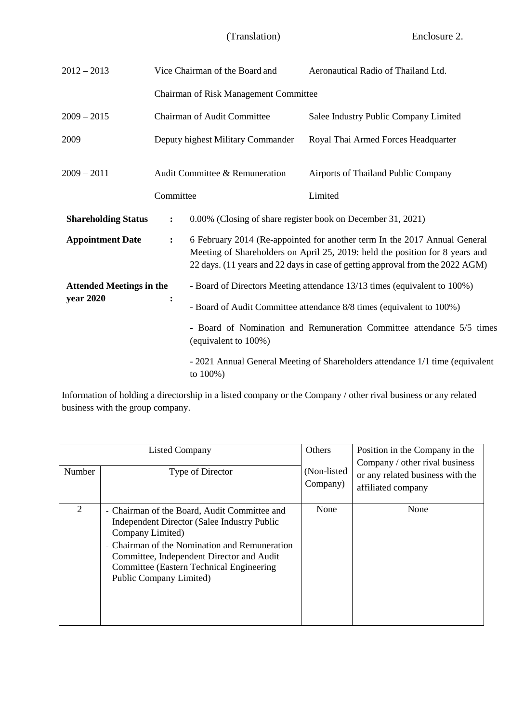| $2012 - 2013$                                |                      | Vice Chairman of the Board and                                                                                                                                                                                                                                                                            | Aeronautical Radio of Thailand Ltd.                                           |  |  |  |
|----------------------------------------------|----------------------|-----------------------------------------------------------------------------------------------------------------------------------------------------------------------------------------------------------------------------------------------------------------------------------------------------------|-------------------------------------------------------------------------------|--|--|--|
|                                              |                      | Chairman of Risk Management Committee                                                                                                                                                                                                                                                                     |                                                                               |  |  |  |
| $2009 - 2015$                                |                      | <b>Chairman of Audit Committee</b>                                                                                                                                                                                                                                                                        | Salee Industry Public Company Limited                                         |  |  |  |
| 2009                                         |                      | Deputy highest Military Commander                                                                                                                                                                                                                                                                         | Royal Thai Armed Forces Headquarter                                           |  |  |  |
| $2009 - 2011$                                |                      | Audit Committee & Remuneration                                                                                                                                                                                                                                                                            | Airports of Thailand Public Company                                           |  |  |  |
|                                              | Committee            |                                                                                                                                                                                                                                                                                                           | Limited                                                                       |  |  |  |
| <b>Shareholding Status</b>                   | $\ddot{\phantom{a}}$ | 0.00% (Closing of share register book on December 31, 2021)<br>6 February 2014 (Re-appointed for another term In the 2017 Annual General<br>Meeting of Shareholders on April 25, 2019: held the position for 8 years and<br>22 days. (11 years and 22 days in case of getting approval from the 2022 AGM) |                                                                               |  |  |  |
| <b>Appointment Date</b>                      | $\ddot{\cdot}$       |                                                                                                                                                                                                                                                                                                           |                                                                               |  |  |  |
| <b>Attended Meetings in the</b><br>year 2020 | $\ddot{\cdot}$       | - Board of Directors Meeting attendance 13/13 times (equivalent to 100%)                                                                                                                                                                                                                                  |                                                                               |  |  |  |
|                                              |                      | - Board of Audit Committee attendance 8/8 times (equivalent to 100%)                                                                                                                                                                                                                                      |                                                                               |  |  |  |
|                                              |                      | - Board of Nomination and Remuneration Committee attendance 5/5 times<br>(equivalent to 100%)                                                                                                                                                                                                             |                                                                               |  |  |  |
|                                              |                      | to $100%$ )                                                                                                                                                                                                                                                                                               | - 2021 Annual General Meeting of Shareholders attendance 1/1 time (equivalent |  |  |  |

Information of holding a directorship in a listed company or the Company / other rival business or any related business with the group company.

| Number | <b>Listed Company</b><br>Type of Director                                                                                                                                                                                                                                                   | Others<br>(Non-listed)<br>Company) | Position in the Company in the<br>Company / other rival business<br>or any related business with the<br>affiliated company |
|--------|---------------------------------------------------------------------------------------------------------------------------------------------------------------------------------------------------------------------------------------------------------------------------------------------|------------------------------------|----------------------------------------------------------------------------------------------------------------------------|
| 2      | - Chairman of the Board, Audit Committee and<br>Independent Director (Salee Industry Public<br>Company Limited)<br>- Chairman of the Nomination and Remuneration<br>Committee, Independent Director and Audit<br><b>Committee (Eastern Technical Engineering</b><br>Public Company Limited) | None                               | None                                                                                                                       |